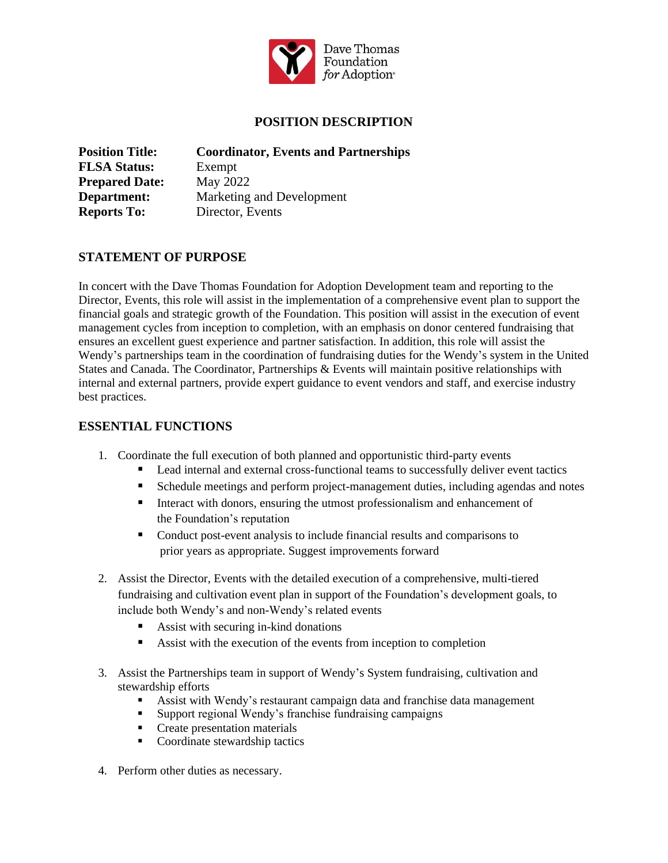

### **POSITION DESCRIPTION**

| <b>Position Title:</b> | <b>Coordinator, Events and Partnerships</b> |
|------------------------|---------------------------------------------|
| <b>FLSA Status:</b>    | Exempt                                      |
| <b>Prepared Date:</b>  | May 2022                                    |
| Department:            | Marketing and Development                   |
| <b>Reports To:</b>     | Director, Events                            |

### **STATEMENT OF PURPOSE**

In concert with the Dave Thomas Foundation for Adoption Development team and reporting to the Director, Events, this role will assist in the implementation of a comprehensive event plan to support the financial goals and strategic growth of the Foundation. This position will assist in the execution of event management cycles from inception to completion, with an emphasis on donor centered fundraising that ensures an excellent guest experience and partner satisfaction. In addition, this role will assist the Wendy's partnerships team in the coordination of fundraising duties for the Wendy's system in the United States and Canada. The Coordinator, Partnerships & Events will maintain positive relationships with internal and external partners, provide expert guidance to event vendors and staff, and exercise industry best practices.

#### **ESSENTIAL FUNCTIONS**

- 1. Coordinate the full execution of both planned and opportunistic third-party events
	- Lead internal and external cross-functional teams to successfully deliver event tactics
	- **•** Schedule meetings and perform project-management duties, including agendas and notes
	- **I** Interact with donors, ensuring the utmost professionalism and enhancement of the Foundation's reputation
	- Conduct post-event analysis to include financial results and comparisons to prior years as appropriate. Suggest improvements forward
- 2. Assist the Director, Events with the detailed execution of a comprehensive, multi-tiered fundraising and cultivation event plan in support of the Foundation's development goals, to include both Wendy's and non-Wendy's related events
	- $\blacksquare$  Assist with securing in-kind donations
	- Assist with the execution of the events from inception to completion
- 3. Assist the Partnerships team in support of Wendy's System fundraising, cultivation and stewardship efforts
	- **EXECUTE:** Assist with Wendy's restaurant campaign data and franchise data management
	- Support regional Wendy's franchise fundraising campaigns
	- **•** Create presentation materials
	- Coordinate stewardship tactics
- 4. Perform other duties as necessary.